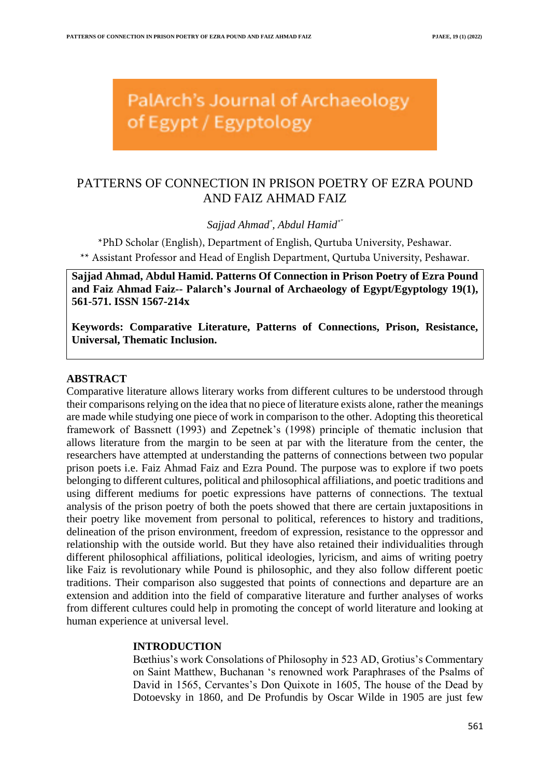PalArch's Journal of Archaeology of Egypt / Egyptology

# PATTERNS OF CONNECTION IN PRISON POETRY OF EZRA POUND AND FAIZ AHMAD FAIZ

*Sajjad Ahmad\* , Abdul Hamid\*"*

\*PhD Scholar (English), Department of English, Qurtuba University, Peshawar. \*\* Assistant Professor and Head of English Department, Qurtuba University, Peshawar.

**Sajjad Ahmad, Abdul Hamid. Patterns Of Connection in Prison Poetry of Ezra Pound and Faiz Ahmad Faiz-- Palarch's Journal of Archaeology of Egypt/Egyptology 19(1), 561-571. ISSN 1567-214x**

**Keywords: Comparative Literature, Patterns of Connections, Prison, Resistance, Universal, Thematic Inclusion.**

#### **ABSTRACT**

Comparative literature allows literary works from different cultures to be understood through their comparisons relying on the idea that no piece of literature exists alone, rather the meanings are made while studying one piece of work in comparison to the other. Adopting this theoretical framework of Bassnett (1993) and Zepetnek's (1998) principle of thematic inclusion that allows literature from the margin to be seen at par with the literature from the center, the researchers have attempted at understanding the patterns of connections between two popular prison poets i.e. Faiz Ahmad Faiz and Ezra Pound. The purpose was to explore if two poets belonging to different cultures, political and philosophical affiliations, and poetic traditions and using different mediums for poetic expressions have patterns of connections. The textual analysis of the prison poetry of both the poets showed that there are certain juxtapositions in their poetry like movement from personal to political, references to history and traditions, delineation of the prison environment, freedom of expression, resistance to the oppressor and relationship with the outside world. But they have also retained their individualities through different philosophical affiliations, political ideologies, lyricism, and aims of writing poetry like Faiz is revolutionary while Pound is philosophic, and they also follow different poetic traditions. Their comparison also suggested that points of connections and departure are an extension and addition into the field of comparative literature and further analyses of works from different cultures could help in promoting the concept of world literature and looking at human experience at universal level.

#### **INTRODUCTION**

Bœthius's work Consolations of Philosophy in 523 AD, Grotius's Commentary on Saint Matthew, Buchanan 's renowned work Paraphrases of the Psalms of David in 1565, Cervantes's Don Quixote in 1605, The house of the Dead by Dotoevsky in 1860, and De Profundis by Oscar Wilde in 1905 are just few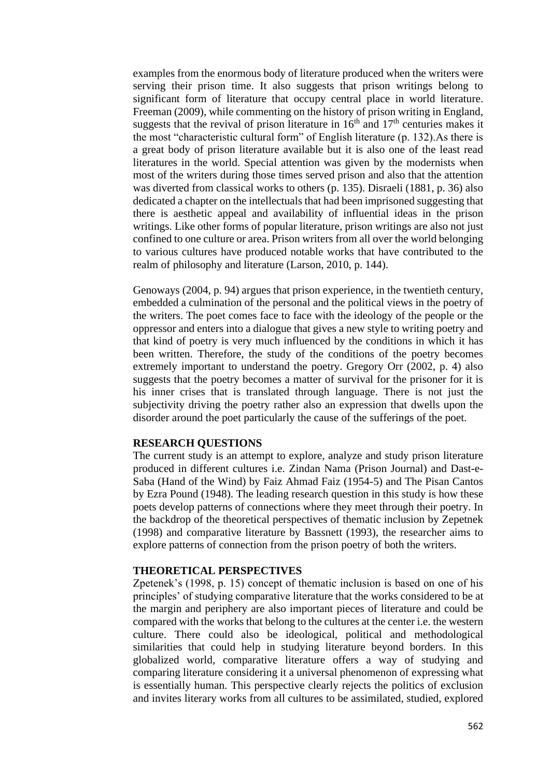examples from the enormous body of literature produced when the writers were serving their prison time. It also suggests that prison writings belong to significant form of literature that occupy central place in world literature. Freeman (2009), while commenting on the history of prison writing in England, suggests that the revival of prison literature in  $16<sup>th</sup>$  and  $17<sup>th</sup>$  centuries makes it the most "characteristic cultural form" of English literature (p. 132).As there is a great body of prison literature available but it is also one of the least read literatures in the world. Special attention was given by the modernists when most of the writers during those times served prison and also that the attention was diverted from classical works to others (p. 135). Disraeli (1881, p. 36) also dedicated a chapter on the intellectuals that had been imprisoned suggesting that there is aesthetic appeal and availability of influential ideas in the prison writings. Like other forms of popular literature, prison writings are also not just confined to one culture or area. Prison writers from all over the world belonging to various cultures have produced notable works that have contributed to the realm of philosophy and literature (Larson, 2010, p. 144).

Genoways (2004, p. 94) argues that prison experience, in the twentieth century, embedded a culmination of the personal and the political views in the poetry of the writers. The poet comes face to face with the ideology of the people or the oppressor and enters into a dialogue that gives a new style to writing poetry and that kind of poetry is very much influenced by the conditions in which it has been written. Therefore, the study of the conditions of the poetry becomes extremely important to understand the poetry. Gregory Orr (2002, p. 4) also suggests that the poetry becomes a matter of survival for the prisoner for it is his inner crises that is translated through language. There is not just the subjectivity driving the poetry rather also an expression that dwells upon the disorder around the poet particularly the cause of the sufferings of the poet.

## **RESEARCH QUESTIONS**

The current study is an attempt to explore, analyze and study prison literature produced in different cultures i.e. Zindan Nama (Prison Journal) and Dast-e-Saba (Hand of the Wind) by Faiz Ahmad Faiz (1954-5) and The Pisan Cantos by Ezra Pound (1948). The leading research question in this study is how these poets develop patterns of connections where they meet through their poetry. In the backdrop of the theoretical perspectives of thematic inclusion by Zepetnek (1998) and comparative literature by Bassnett (1993), the researcher aims to explore patterns of connection from the prison poetry of both the writers.

### **THEORETICAL PERSPECTIVES**

Zpetenek's (1998, p. 15) concept of thematic inclusion is based on one of his principles' of studying comparative literature that the works considered to be at the margin and periphery are also important pieces of literature and could be compared with the works that belong to the cultures at the center i.e. the western culture. There could also be ideological, political and methodological similarities that could help in studying literature beyond borders. In this globalized world, comparative literature offers a way of studying and comparing literature considering it a universal phenomenon of expressing what is essentially human. This perspective clearly rejects the politics of exclusion and invites literary works from all cultures to be assimilated, studied, explored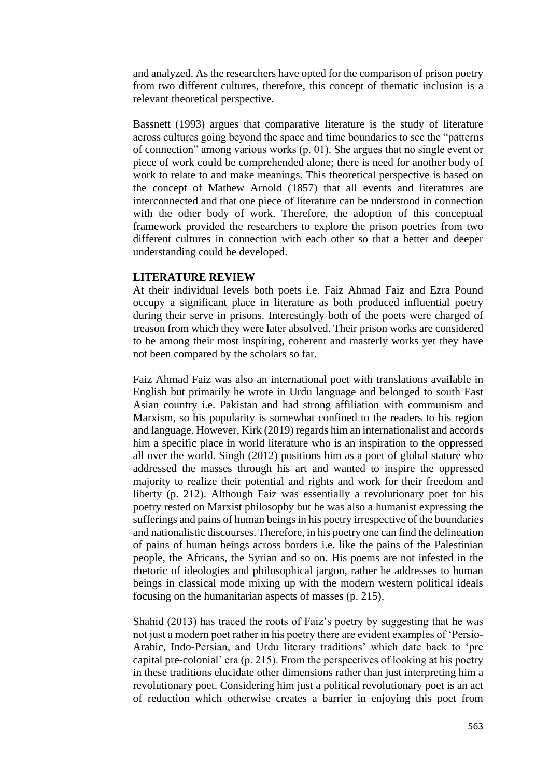and analyzed. As the researchers have opted for the comparison of prison poetry from two different cultures, therefore, this concept of thematic inclusion is a relevant theoretical perspective.

Bassnett (1993) argues that comparative literature is the study of literature across cultures going beyond the space and time boundaries to see the "patterns of connection" among various works (p. 01). She argues that no single event or piece of work could be comprehended alone; there is need for another body of work to relate to and make meanings. This theoretical perspective is based on the concept of Mathew Arnold (1857) that all events and literatures are interconnected and that one piece of literature can be understood in connection with the other body of work. Therefore, the adoption of this conceptual framework provided the researchers to explore the prison poetries from two different cultures in connection with each other so that a better and deeper understanding could be developed.

## **LITERATURE REVIEW**

At their individual levels both poets i.e. Faiz Ahmad Faiz and Ezra Pound occupy a significant place in literature as both produced influential poetry during their serve in prisons. Interestingly both of the poets were charged of treason from which they were later absolved. Their prison works are considered to be among their most inspiring, coherent and masterly works yet they have not been compared by the scholars so far.

Faiz Ahmad Faiz was also an international poet with translations available in English but primarily he wrote in Urdu language and belonged to south East Asian country i.e. Pakistan and had strong affiliation with communism and Marxism, so his popularity is somewhat confined to the readers to his region and language. However, Kirk (2019) regards him an internationalist and accords him a specific place in world literature who is an inspiration to the oppressed all over the world. Singh (2012) positions him as a poet of global stature who addressed the masses through his art and wanted to inspire the oppressed majority to realize their potential and rights and work for their freedom and liberty (p. 212). Although Faiz was essentially a revolutionary poet for his poetry rested on Marxist philosophy but he was also a humanist expressing the sufferings and pains of human beings in his poetry irrespective of the boundaries and nationalistic discourses. Therefore, in his poetry one can find the delineation of pains of human beings across borders i.e. like the pains of the Palestinian people, the Africans, the Syrian and so on. His poems are not infested in the rhetoric of ideologies and philosophical jargon, rather he addresses to human beings in classical mode mixing up with the modern western political ideals focusing on the humanitarian aspects of masses (p. 215).

Shahid (2013) has traced the roots of Faiz's poetry by suggesting that he was not just a modern poet rather in his poetry there are evident examples of 'Persio-Arabic, Indo-Persian, and Urdu literary traditions' which date back to 'pre capital pre-colonial' era (p. 215). From the perspectives of looking at his poetry in these traditions elucidate other dimensions rather than just interpreting him a revolutionary poet. Considering him just a political revolutionary poet is an act of reduction which otherwise creates a barrier in enjoying this poet from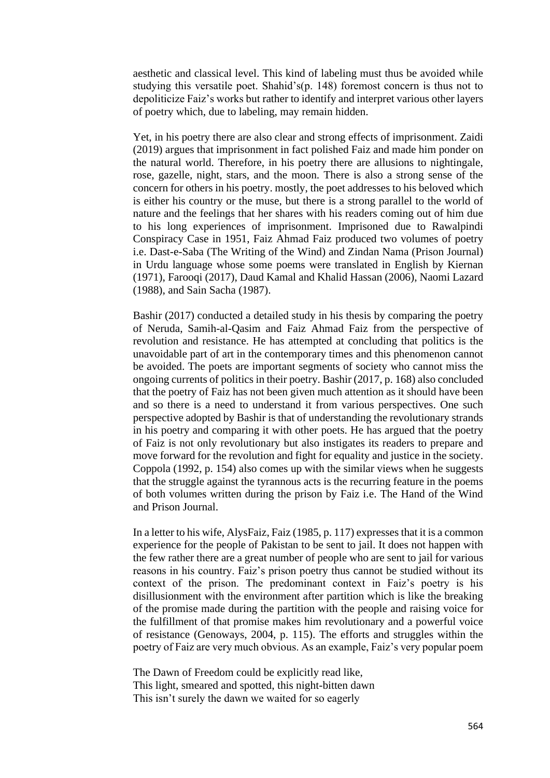aesthetic and classical level. This kind of labeling must thus be avoided while studying this versatile poet. Shahid's(p. 148) foremost concern is thus not to depoliticize Faiz's works but rather to identify and interpret various other layers of poetry which, due to labeling, may remain hidden.

Yet, in his poetry there are also clear and strong effects of imprisonment. Zaidi (2019) argues that imprisonment in fact polished Faiz and made him ponder on the natural world. Therefore, in his poetry there are allusions to nightingale, rose, gazelle, night, stars, and the moon. There is also a strong sense of the concern for others in his poetry. mostly, the poet addresses to his beloved which is either his country or the muse, but there is a strong parallel to the world of nature and the feelings that her shares with his readers coming out of him due to his long experiences of imprisonment. Imprisoned due to Rawalpindi Conspiracy Case in 1951, Faiz Ahmad Faiz produced two volumes of poetry i.e. Dast-e-Saba (The Writing of the Wind) and Zindan Nama (Prison Journal) in Urdu language whose some poems were translated in English by Kiernan (1971), Farooqi (2017), Daud Kamal and Khalid Hassan (2006), Naomi Lazard (1988), and Sain Sacha (1987).

Bashir (2017) conducted a detailed study in his thesis by comparing the poetry of Neruda, Samih-al-Qasim and Faiz Ahmad Faiz from the perspective of revolution and resistance. He has attempted at concluding that politics is the unavoidable part of art in the contemporary times and this phenomenon cannot be avoided. The poets are important segments of society who cannot miss the ongoing currents of politics in their poetry. Bashir (2017, p. 168) also concluded that the poetry of Faiz has not been given much attention as it should have been and so there is a need to understand it from various perspectives. One such perspective adopted by Bashir is that of understanding the revolutionary strands in his poetry and comparing it with other poets. He has argued that the poetry of Faiz is not only revolutionary but also instigates its readers to prepare and move forward for the revolution and fight for equality and justice in the society. Coppola (1992, p. 154) also comes up with the similar views when he suggests that the struggle against the tyrannous acts is the recurring feature in the poems of both volumes written during the prison by Faiz i.e. The Hand of the Wind and Prison Journal.

In a letter to his wife, AlysFaiz, Faiz (1985, p. 117) expresses that it is a common experience for the people of Pakistan to be sent to jail. It does not happen with the few rather there are a great number of people who are sent to jail for various reasons in his country. Faiz's prison poetry thus cannot be studied without its context of the prison. The predominant context in Faiz's poetry is his disillusionment with the environment after partition which is like the breaking of the promise made during the partition with the people and raising voice for the fulfillment of that promise makes him revolutionary and a powerful voice of resistance (Genoways, 2004, p. 115). The efforts and struggles within the poetry of Faiz are very much obvious. As an example, Faiz's very popular poem

The Dawn of Freedom could be explicitly read like, This light, smeared and spotted, this night-bitten dawn This isn't surely the dawn we waited for so eagerly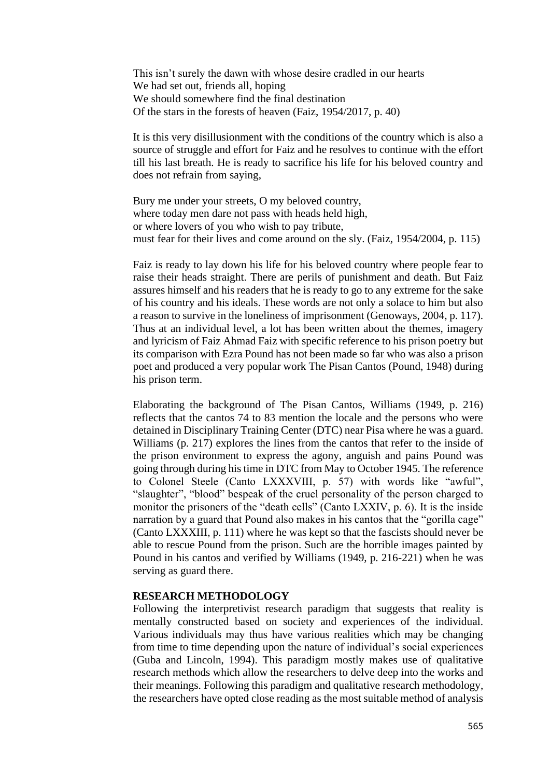This isn't surely the dawn with whose desire cradled in our hearts We had set out, friends all, hoping We should somewhere find the final destination Of the stars in the forests of heaven (Faiz, 1954/2017, p. 40)

It is this very disillusionment with the conditions of the country which is also a source of struggle and effort for Faiz and he resolves to continue with the effort till his last breath. He is ready to sacrifice his life for his beloved country and does not refrain from saying,

Bury me under your streets, O my beloved country, where today men dare not pass with heads held high, or where lovers of you who wish to pay tribute, must fear for their lives and come around on the sly. (Faiz, 1954/2004, p. 115)

Faiz is ready to lay down his life for his beloved country where people fear to raise their heads straight. There are perils of punishment and death. But Faiz assures himself and his readers that he is ready to go to any extreme for the sake of his country and his ideals. These words are not only a solace to him but also a reason to survive in the loneliness of imprisonment (Genoways, 2004, p. 117). Thus at an individual level, a lot has been written about the themes, imagery and lyricism of Faiz Ahmad Faiz with specific reference to his prison poetry but its comparison with Ezra Pound has not been made so far who was also a prison poet and produced a very popular work The Pisan Cantos (Pound, 1948) during his prison term.

Elaborating the background of The Pisan Cantos, Williams (1949, p. 216) reflects that the cantos 74 to 83 mention the locale and the persons who were detained in Disciplinary Training Center (DTC) near Pisa where he was a guard. Williams (p. 217) explores the lines from the cantos that refer to the inside of the prison environment to express the agony, anguish and pains Pound was going through during his time in DTC from May to October 1945. The reference to Colonel Steele (Canto LXXXVIII, p. 57) with words like "awful", "slaughter", "blood" bespeak of the cruel personality of the person charged to monitor the prisoners of the "death cells" (Canto LXXIV, p. 6). It is the inside narration by a guard that Pound also makes in his cantos that the "gorilla cage" (Canto LXXXIII, p. 111) where he was kept so that the fascists should never be able to rescue Pound from the prison. Such are the horrible images painted by Pound in his cantos and verified by Williams (1949, p. 216-221) when he was serving as guard there.

## **RESEARCH METHODOLOGY**

Following the interpretivist research paradigm that suggests that reality is mentally constructed based on society and experiences of the individual. Various individuals may thus have various realities which may be changing from time to time depending upon the nature of individual's social experiences (Guba and Lincoln, 1994). This paradigm mostly makes use of qualitative research methods which allow the researchers to delve deep into the works and their meanings. Following this paradigm and qualitative research methodology, the researchers have opted close reading as the most suitable method of analysis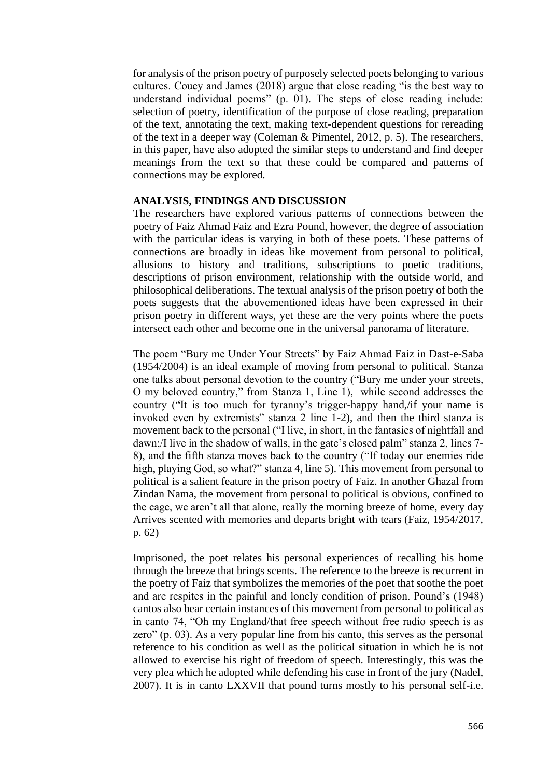for analysis of the prison poetry of purposely selected poets belonging to various cultures. Couey and James (2018) argue that close reading "is the best way to understand individual poems" (p. 01). The steps of close reading include: selection of poetry, identification of the purpose of close reading, preparation of the text, annotating the text, making text-dependent questions for rereading of the text in a deeper way (Coleman & Pimentel, 2012, p. 5). The researchers, in this paper, have also adopted the similar steps to understand and find deeper meanings from the text so that these could be compared and patterns of connections may be explored.

## **ANALYSIS, FINDINGS AND DISCUSSION**

The researchers have explored various patterns of connections between the poetry of Faiz Ahmad Faiz and Ezra Pound, however, the degree of association with the particular ideas is varying in both of these poets. These patterns of connections are broadly in ideas like movement from personal to political, allusions to history and traditions, subscriptions to poetic traditions, descriptions of prison environment, relationship with the outside world, and philosophical deliberations. The textual analysis of the prison poetry of both the poets suggests that the abovementioned ideas have been expressed in their prison poetry in different ways, yet these are the very points where the poets intersect each other and become one in the universal panorama of literature.

The poem "Bury me Under Your Streets" by Faiz Ahmad Faiz in Dast-e-Saba (1954/2004) is an ideal example of moving from personal to political. Stanza one talks about personal devotion to the country ("Bury me under your streets, O my beloved country," from Stanza 1, Line 1), while second addresses the country ("It is too much for tyranny's trigger-happy hand,/if your name is invoked even by extremists" stanza 2 line 1-2), and then the third stanza is movement back to the personal ("I live, in short, in the fantasies of nightfall and dawn;/I live in the shadow of walls, in the gate's closed palm" stanza 2, lines 7- 8), and the fifth stanza moves back to the country ("If today our enemies ride high, playing God, so what?" stanza 4, line 5). This movement from personal to political is a salient feature in the prison poetry of Faiz. In another Ghazal from Zindan Nama, the movement from personal to political is obvious, confined to the cage, we aren't all that alone, really the morning breeze of home, every day Arrives scented with memories and departs bright with tears (Faiz, 1954/2017, p. 62)

Imprisoned, the poet relates his personal experiences of recalling his home through the breeze that brings scents. The reference to the breeze is recurrent in the poetry of Faiz that symbolizes the memories of the poet that soothe the poet and are respites in the painful and lonely condition of prison. Pound's (1948) cantos also bear certain instances of this movement from personal to political as in canto 74, "Oh my England/that free speech without free radio speech is as zero" (p. 03). As a very popular line from his canto, this serves as the personal reference to his condition as well as the political situation in which he is not allowed to exercise his right of freedom of speech. Interestingly, this was the very plea which he adopted while defending his case in front of the jury (Nadel, 2007). It is in canto LXXVII that pound turns mostly to his personal self-i.e.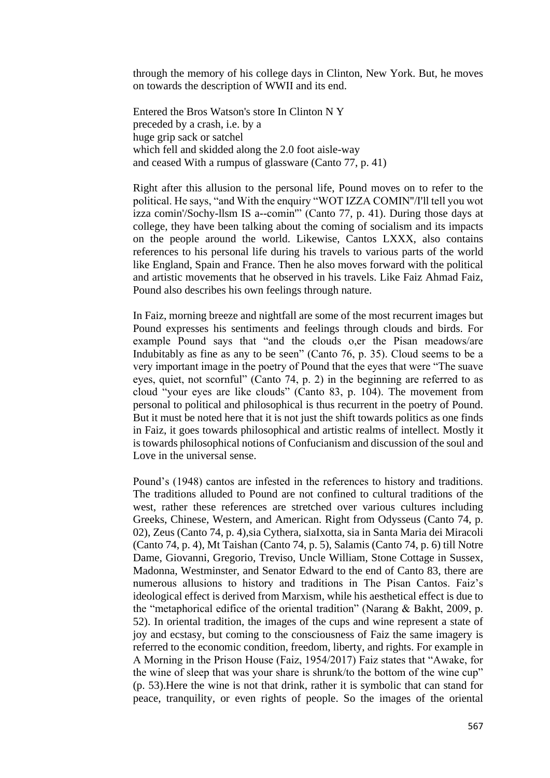through the memory of his college days in Clinton, New York. But, he moves on towards the description of WWII and its end.

Entered the Bros Watson's store In Clinton N Y preceded by a crash, i.e. by a huge grip sack or satchel which fell and skidded along the 2.0 foot aisle-way and ceased With a rumpus of glassware (Canto 77, p. 41)

Right after this allusion to the personal life, Pound moves on to refer to the political. He says, "and With the enquiry "WOT IZZA COMIN''/I'll tell you wot izza comin'/Sochy-llsm IS a--comin'" (Canto 77, p. 41). During those days at college, they have been talking about the coming of socialism and its impacts on the people around the world. Likewise, Cantos LXXX, also contains references to his personal life during his travels to various parts of the world like England, Spain and France. Then he also moves forward with the political and artistic movements that he observed in his travels. Like Faiz Ahmad Faiz, Pound also describes his own feelings through nature.

In Faiz, morning breeze and nightfall are some of the most recurrent images but Pound expresses his sentiments and feelings through clouds and birds. For example Pound says that "and the clouds o,er the Pisan meadows/are Indubitably as fine as any to be seen" (Canto 76, p. 35). Cloud seems to be a very important image in the poetry of Pound that the eyes that were "The suave eyes, quiet, not scornful" (Canto 74, p. 2) in the beginning are referred to as cloud "your eyes are like clouds" (Canto 83, p. 104). The movement from personal to political and philosophical is thus recurrent in the poetry of Pound. But it must be noted here that it is not just the shift towards politics as one finds in Faiz, it goes towards philosophical and artistic realms of intellect. Mostly it is towards philosophical notions of Confucianism and discussion of the soul and Love in the universal sense.

Pound's (1948) cantos are infested in the references to history and traditions. The traditions alluded to Pound are not confined to cultural traditions of the west, rather these references are stretched over various cultures including Greeks, Chinese, Western, and American. Right from Odysseus (Canto 74, p. 02), Zeus (Canto 74, p. 4),sia Cythera, siaIxotta, sia in Santa Maria dei Miracoli (Canto 74, p. 4), Mt Taishan (Canto 74, p. 5), Salamis (Canto 74, p. 6) till Notre Dame, Giovanni, Gregorio, Treviso, Uncle William, Stone Cottage in Sussex, Madonna, Westminster, and Senator Edward to the end of Canto 83, there are numerous allusions to history and traditions in The Pisan Cantos. Faiz's ideological effect is derived from Marxism, while his aesthetical effect is due to the "metaphorical edifice of the oriental tradition" (Narang & Bakht, 2009, p. 52). In oriental tradition, the images of the cups and wine represent a state of joy and ecstasy, but coming to the consciousness of Faiz the same imagery is referred to the economic condition, freedom, liberty, and rights. For example in A Morning in the Prison House (Faiz, 1954/2017) Faiz states that "Awake, for the wine of sleep that was your share is shrunk/to the bottom of the wine cup" (p. 53).Here the wine is not that drink, rather it is symbolic that can stand for peace, tranquility, or even rights of people. So the images of the oriental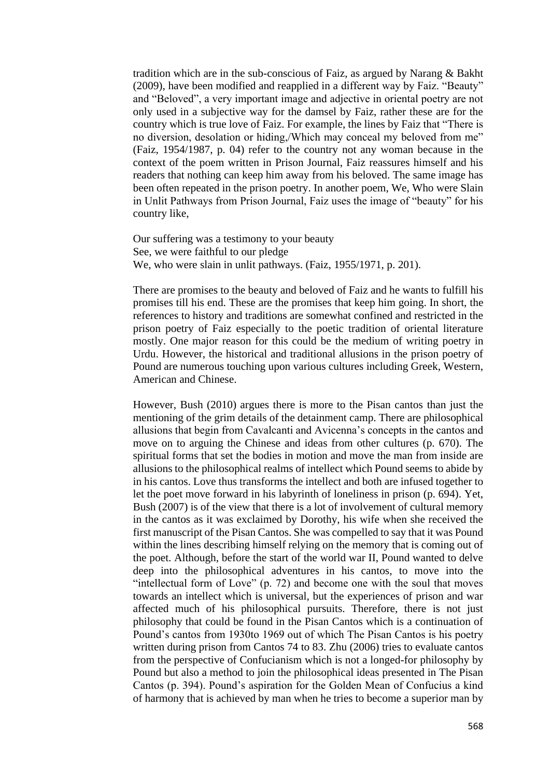tradition which are in the sub-conscious of Faiz, as argued by Narang & Bakht (2009), have been modified and reapplied in a different way by Faiz. "Beauty" and "Beloved", a very important image and adjective in oriental poetry are not only used in a subjective way for the damsel by Faiz, rather these are for the country which is true love of Faiz. For example, the lines by Faiz that "There is no diversion, desolation or hiding,/Which may conceal my beloved from me" (Faiz, 1954/1987, p. 04) refer to the country not any woman because in the context of the poem written in Prison Journal, Faiz reassures himself and his readers that nothing can keep him away from his beloved. The same image has been often repeated in the prison poetry. In another poem, We, Who were Slain in Unlit Pathways from Prison Journal, Faiz uses the image of "beauty" for his country like,

Our suffering was a testimony to your beauty See, we were faithful to our pledge We, who were slain in unlit pathways. (Faiz, 1955/1971, p. 201).

There are promises to the beauty and beloved of Faiz and he wants to fulfill his promises till his end. These are the promises that keep him going. In short, the references to history and traditions are somewhat confined and restricted in the prison poetry of Faiz especially to the poetic tradition of oriental literature mostly. One major reason for this could be the medium of writing poetry in Urdu. However, the historical and traditional allusions in the prison poetry of Pound are numerous touching upon various cultures including Greek, Western, American and Chinese.

However, Bush (2010) argues there is more to the Pisan cantos than just the mentioning of the grim details of the detainment camp. There are philosophical allusions that begin from Cavalcanti and Avicenna's concepts in the cantos and move on to arguing the Chinese and ideas from other cultures (p. 670). The spiritual forms that set the bodies in motion and move the man from inside are allusions to the philosophical realms of intellect which Pound seems to abide by in his cantos. Love thus transforms the intellect and both are infused together to let the poet move forward in his labyrinth of loneliness in prison (p. 694). Yet, Bush (2007) is of the view that there is a lot of involvement of cultural memory in the cantos as it was exclaimed by Dorothy, his wife when she received the first manuscript of the Pisan Cantos. She was compelled to say that it was Pound within the lines describing himself relying on the memory that is coming out of the poet. Although, before the start of the world war II, Pound wanted to delve deep into the philosophical adventures in his cantos, to move into the "intellectual form of Love" (p. 72) and become one with the soul that moves towards an intellect which is universal, but the experiences of prison and war affected much of his philosophical pursuits. Therefore, there is not just philosophy that could be found in the Pisan Cantos which is a continuation of Pound's cantos from 1930to 1969 out of which The Pisan Cantos is his poetry written during prison from Cantos 74 to 83. Zhu (2006) tries to evaluate cantos from the perspective of Confucianism which is not a longed-for philosophy by Pound but also a method to join the philosophical ideas presented in The Pisan Cantos (p. 394). Pound's aspiration for the Golden Mean of Confucius a kind of harmony that is achieved by man when he tries to become a superior man by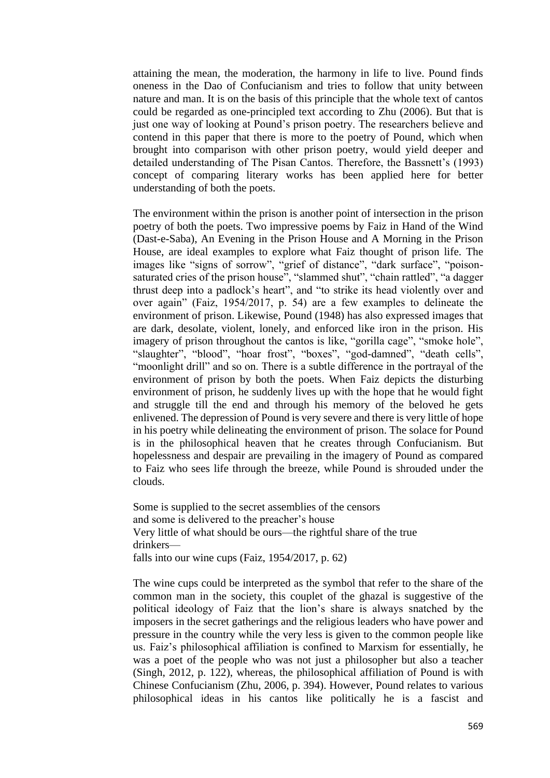attaining the mean, the moderation, the harmony in life to live. Pound finds oneness in the Dao of Confucianism and tries to follow that unity between nature and man. It is on the basis of this principle that the whole text of cantos could be regarded as one-principled text according to Zhu (2006). But that is just one way of looking at Pound's prison poetry. The researchers believe and contend in this paper that there is more to the poetry of Pound, which when brought into comparison with other prison poetry, would yield deeper and detailed understanding of The Pisan Cantos. Therefore, the Bassnett's (1993) concept of comparing literary works has been applied here for better understanding of both the poets.

The environment within the prison is another point of intersection in the prison poetry of both the poets. Two impressive poems by Faiz in Hand of the Wind (Dast-e-Saba), An Evening in the Prison House and A Morning in the Prison House, are ideal examples to explore what Faiz thought of prison life. The images like "signs of sorrow", "grief of distance", "dark surface", "poisonsaturated cries of the prison house", "slammed shut", "chain rattled", "a dagger thrust deep into a padlock's heart", and "to strike its head violently over and over again" (Faiz, 1954/2017, p. 54) are a few examples to delineate the environment of prison. Likewise, Pound (1948) has also expressed images that are dark, desolate, violent, lonely, and enforced like iron in the prison. His imagery of prison throughout the cantos is like, "gorilla cage", "smoke hole", "slaughter", "blood", "hoar frost", "boxes", "god-damned", "death cells", "moonlight drill" and so on. There is a subtle difference in the portrayal of the environment of prison by both the poets. When Faiz depicts the disturbing environment of prison, he suddenly lives up with the hope that he would fight and struggle till the end and through his memory of the beloved he gets enlivened. The depression of Pound is very severe and there is very little of hope in his poetry while delineating the environment of prison. The solace for Pound is in the philosophical heaven that he creates through Confucianism. But hopelessness and despair are prevailing in the imagery of Pound as compared to Faiz who sees life through the breeze, while Pound is shrouded under the clouds.

Some is supplied to the secret assemblies of the censors and some is delivered to the preacher's house Very little of what should be ours—the rightful share of the true drinkers falls into our wine cups (Faiz, 1954/2017, p. 62)

The wine cups could be interpreted as the symbol that refer to the share of the common man in the society, this couplet of the ghazal is suggestive of the political ideology of Faiz that the lion's share is always snatched by the imposers in the secret gatherings and the religious leaders who have power and pressure in the country while the very less is given to the common people like us. Faiz's philosophical affiliation is confined to Marxism for essentially, he was a poet of the people who was not just a philosopher but also a teacher (Singh, 2012, p. 122), whereas, the philosophical affiliation of Pound is with Chinese Confucianism (Zhu, 2006, p. 394). However, Pound relates to various philosophical ideas in his cantos like politically he is a fascist and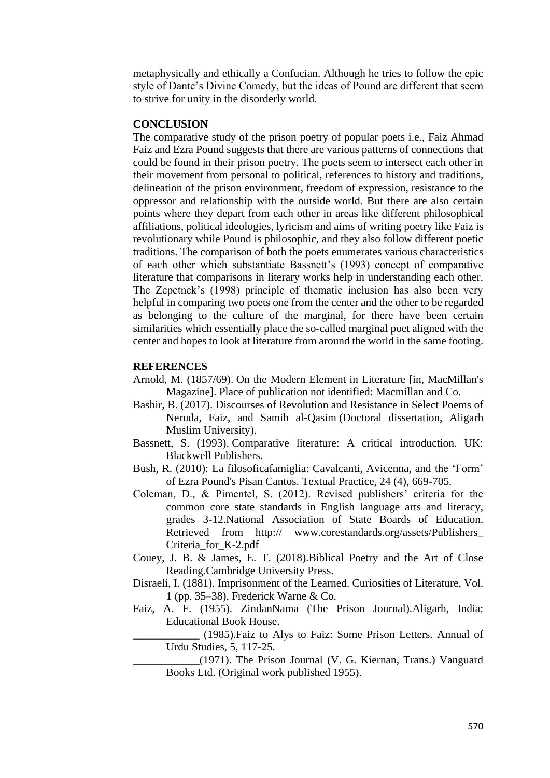metaphysically and ethically a Confucian. Although he tries to follow the epic style of Dante's Divine Comedy, but the ideas of Pound are different that seem to strive for unity in the disorderly world.

#### **CONCLUSION**

The comparative study of the prison poetry of popular poets i.e., Faiz Ahmad Faiz and Ezra Pound suggests that there are various patterns of connections that could be found in their prison poetry. The poets seem to intersect each other in their movement from personal to political, references to history and traditions, delineation of the prison environment, freedom of expression, resistance to the oppressor and relationship with the outside world. But there are also certain points where they depart from each other in areas like different philosophical affiliations, political ideologies, lyricism and aims of writing poetry like Faiz is revolutionary while Pound is philosophic, and they also follow different poetic traditions. The comparison of both the poets enumerates various characteristics of each other which substantiate Bassnett's (1993) concept of comparative literature that comparisons in literary works help in understanding each other. The Zepetnek's (1998) principle of thematic inclusion has also been very helpful in comparing two poets one from the center and the other to be regarded as belonging to the culture of the marginal, for there have been certain similarities which essentially place the so-called marginal poet aligned with the center and hopes to look at literature from around the world in the same footing.

#### **REFERENCES**

- Arnold, M. (1857/69). On the Modern Element in Literature [in, MacMillan's Magazine]. Place of publication not identified: Macmillan and Co.
- Bashir, B. (2017). Discourses of Revolution and Resistance in Select Poems of Neruda, Faiz, and Samih al-Qasim (Doctoral dissertation, Aligarh Muslim University).
- Bassnett, S. (1993). Comparative literature: A critical introduction. UK: Blackwell Publishers.
- Bush, R. (2010): La filosoficafamiglia: Cavalcanti, Avicenna, and the 'Form' of Ezra Pound's Pisan Cantos. Textual Practice, 24 (4), 669-705.
- Coleman, D., & Pimentel, S. (2012). Revised publishers' criteria for the common core state standards in English language arts and literacy, grades 3-12.National Association of State Boards of Education. Retrieved from http:// www.corestandards.org/assets/Publishers\_ Criteria\_for\_K-2.pdf
- Couey, J. B. & James, E. T. (2018).Biblical Poetry and the Art of Close Reading.Cambridge University Press.
- [Disraeli,](https://en.wikipedia.org/wiki/Isaac_Disraeli) I. (1881). Imprisonment of the Learned. Curiosities of Literature, Vol. 1 (pp. 35–38). Frederick Warne & Co.
- Faiz, A. F. (1955). ZindanNama (The Prison Journal).Aligarh, India: Educational Book House.

\_\_\_\_\_\_\_\_\_\_\_\_ (1985).Faiz to Alys to Faiz: Some Prison Letters. Annual of Urdu Studies, 5, 117-25.

\_\_\_\_\_\_\_\_\_\_\_\_(1971). The Prison Journal (V. G. Kiernan, Trans.) Vanguard Books Ltd. (Original work published 1955).